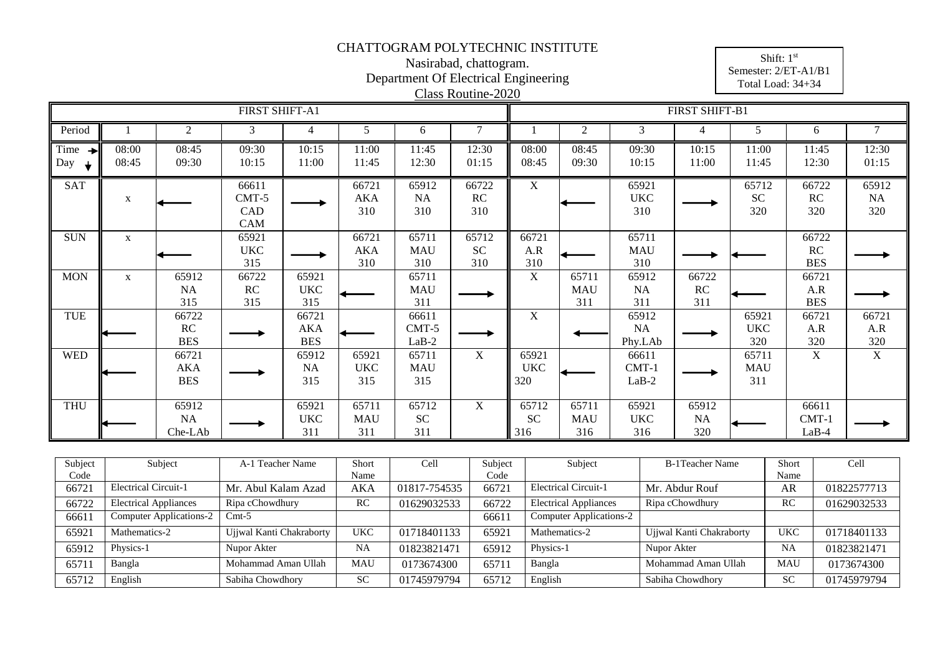#### Nasirabad, chattogram. Department Of Electrical Engineering

Shift: 1<sup>st</sup> Semester: 2/ET-A1/B1 Total Load: 34+34

|                              |                |                                   |                                |                                   |                            |                             | Class Routine-2020        |                            |                            |                               |                           |                            |                             |                          |
|------------------------------|----------------|-----------------------------------|--------------------------------|-----------------------------------|----------------------------|-----------------------------|---------------------------|----------------------------|----------------------------|-------------------------------|---------------------------|----------------------------|-----------------------------|--------------------------|
|                              |                |                                   | FIRST SHIFT-A1                 |                                   |                            |                             |                           |                            |                            |                               | FIRST SHIFT-B1            |                            |                             |                          |
| Period                       |                | $\mathbf{2}$                      | 3                              | $\overline{4}$                    | 5                          | 6                           | 7                         |                            | $\overline{2}$             | 3                             | $\overline{4}$            | 5                          | 6                           | $\tau$                   |
| Time<br>$\rightarrow$<br>Day | 08:00<br>08:45 | 08:45<br>09:30                    | 09:30<br>10:15                 | 10:15<br>11:00                    | 11:00<br>11:45             | 11:45<br>12:30              | 12:30<br>01:15            | 08:00<br>08:45             | 08:45<br>09:30             | 09:30<br>10:15                | 10:15<br>11:00            | 11:00<br>11:45             | 11:45<br>12:30              | 12:30<br>01:15           |
| <b>SAT</b>                   | X              |                                   | 66611<br>$CMT-5$<br>CAD<br>CAM |                                   | 66721<br>AKA<br>310        | 65912<br>NA<br>310          | 66722<br>RC<br>310        | $\overline{X}$             |                            | 65921<br>$_{\rm UKC}$<br>310  |                           | 65712<br><b>SC</b><br>320  | 66722<br><b>RC</b><br>320   | 65912<br>$\rm NA$<br>320 |
| <b>SUN</b>                   | $\mathbf{X}$   |                                   | 65921<br><b>UKC</b><br>315     |                                   | 66721<br><b>AKA</b><br>310 | 65711<br><b>MAU</b><br>310  | 65712<br><b>SC</b><br>310 | 66721<br>A.R<br>310        |                            | 65711<br><b>MAU</b><br>310    |                           |                            | 66722<br>RC<br><b>BES</b>   |                          |
| <b>MON</b>                   | X              | 65912<br><b>NA</b><br>315         | 66722<br>RC<br>315             | 65921<br><b>UKC</b><br>315        |                            | 65711<br><b>MAU</b><br>311  |                           | X                          | 65711<br><b>MAU</b><br>311 | 65912<br><b>NA</b><br>311     | 66722<br>RC<br>311        |                            | 66721<br>A.R<br><b>BES</b>  |                          |
| TUE                          |                | 66722<br>RC<br><b>BES</b>         |                                | 66721<br><b>AKA</b><br><b>BES</b> |                            | 66611<br>$CMT-5$<br>$LaB-2$ |                           | $\overline{X}$             |                            | 65912<br><b>NA</b><br>Phy.LAb |                           | 65921<br><b>UKC</b><br>320 | 66721<br>A.R<br>320         | 66721<br>A.R<br>320      |
| <b>WED</b>                   |                | 66721<br><b>AKA</b><br><b>BES</b> |                                | 65912<br><b>NA</b><br>315         | 65921<br><b>UKC</b><br>315 | 65711<br><b>MAU</b><br>315  | X                         | 65921<br><b>UKC</b><br>320 |                            | 66611<br>$CMT-1$<br>$LaB-2$   |                           | 65711<br><b>MAU</b><br>311 | X                           | $\mathbf X$              |
| <b>THU</b>                   |                | 65912<br><b>NA</b><br>Che-LAb     |                                | 65921<br><b>UKC</b><br>311        | 65711<br><b>MAU</b><br>311 | 65712<br><b>SC</b><br>311   | X                         | 65712<br><b>SC</b><br>316  | 65711<br><b>MAU</b><br>316 | 65921<br><b>UKC</b><br>316    | 65912<br><b>NA</b><br>320 |                            | 66611<br>$CMT-1$<br>$LaB-4$ |                          |

| Subject | Subject                        | A-1 Teacher Name         | Short      | Cell         | Subject | Subject                        | B-1Teacher Name          | Short      | Cell        |
|---------|--------------------------------|--------------------------|------------|--------------|---------|--------------------------------|--------------------------|------------|-------------|
| Code    |                                |                          | Name       |              | Code    |                                |                          | Name       |             |
| 66721   | <b>Electrical Circuit-1</b>    | Mr. Abul Kalam Azad      | AKA        | 01817-754535 | 66721   | <b>Electrical Circuit-1</b>    | Mr. Abdur Rouf           | AR         | 01822577713 |
| 66722   | <b>Electrical Appliances</b>   | Ripa cChowdhury          | RC         | 01629032533  | 66722   | <b>Electrical Appliances</b>   | Ripa cChowdhury          | RC         | 01629032533 |
| 66611   | <b>Computer Applications-2</b> | $Cmt-5$                  |            |              | 66611   | <b>Computer Applications-2</b> |                          |            |             |
| 65921   | Mathematics-2                  | Ujjwal Kanti Chakraborty | <b>UKC</b> | 01718401133  | 65921   | Mathematics-2                  | Ujjwal Kanti Chakraborty | <b>UKC</b> | 01718401133 |
| 65912   | Physics-1                      | Nupor Akter              | <b>NA</b>  | 01823821471  | 65912   | Physics-1                      | Nupor Akter              | <b>NA</b>  | 01823821471 |
| 65711   | Bangla                         | Mohammad Aman Ullah      | <b>MAU</b> | 0173674300   | 6571    | Bangla                         | Mohammad Aman Ullah      | <b>MAU</b> | 0173674300  |
| 65712   | English                        | Sabiha Chowdhory         | <b>SC</b>  | 01745979794  | 65712   | English                        | Sabiha Chowdhory         | <b>SC</b>  | 01745979794 |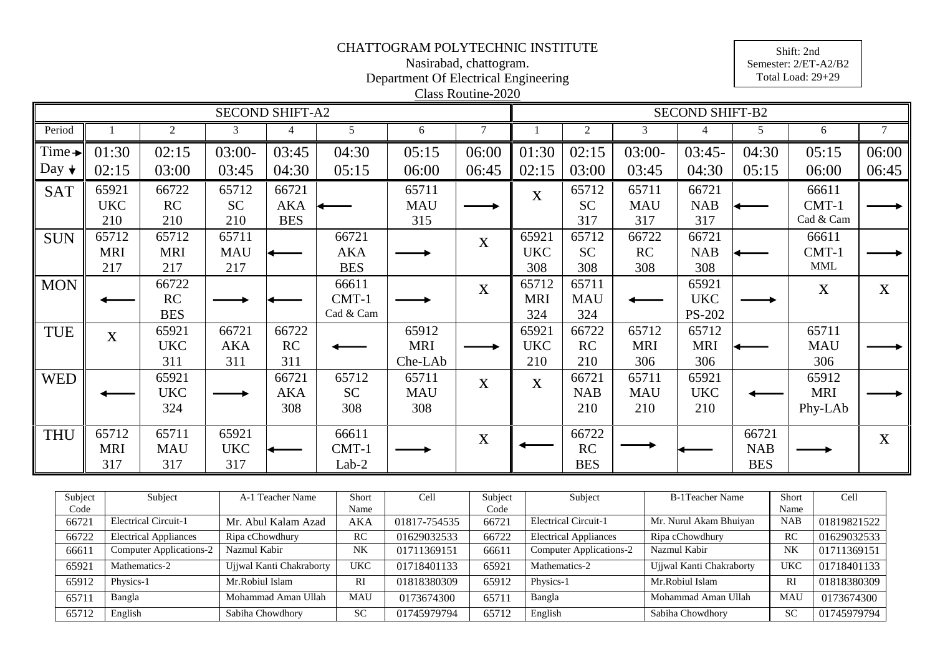#### Nasirabad, chattogram. Department Of Electrical Engineering

Shift: 2nd Semester: 2/ET-A2/B2 Total Load: 29+29

|                    | Class Routine-2020<br><b>SECOND SHIFT-A2</b><br><b>SECOND SHIFT-B2</b> |            |            |                |            |            |              |             |            |            |            |            |             |             |
|--------------------|------------------------------------------------------------------------|------------|------------|----------------|------------|------------|--------------|-------------|------------|------------|------------|------------|-------------|-------------|
|                    |                                                                        |            |            |                |            |            |              |             |            |            |            |            |             |             |
| Period             |                                                                        | 2          | 3          | $\overline{4}$ | 5          | 6          | $\tau$       |             | 2          | 3          | 4          | 5          | 6           | $\tau$      |
| Time $\rightarrow$ | 01:30                                                                  | 02:15      | $03:00-$   | 03:45          | 04:30      | 05:15      | 06:00        | 01:30       | 02:15      | $03:00-$   | $03:45-$   | 04:30      | 05:15       | 06:00       |
| Day $\star$        | 02:15                                                                  | 03:00      | 03:45      | 04:30          | 05:15      | 06:00      | 06:45        | 02:15       | 03:00      | 03:45      | 04:30      | 05:15      | 06:00       | 06:45       |
| <b>SAT</b>         | 65921                                                                  | 66722      | 65712      | 66721          |            | 65711      |              | $\mathbf X$ | 65712      | 65711      | 66721      |            | 66611       |             |
|                    | <b>UKC</b>                                                             | RC         | <b>SC</b>  | AKA            |            | <b>MAU</b> |              |             | <b>SC</b>  | <b>MAU</b> | <b>NAB</b> |            | $CMT-1$     |             |
|                    | 210                                                                    | 210        | 210        | <b>BES</b>     |            | 315        |              |             | 317        | 317        | 317        |            | Cad & Cam   |             |
| <b>SUN</b>         | 65712                                                                  | 65712      | 65711      |                | 66721      |            | $\mathbf X$  | 65921       | 65712      | 66722      | 66721      |            | 66611       |             |
|                    | <b>MRI</b>                                                             | <b>MRI</b> | <b>MAU</b> |                | <b>AKA</b> |            |              | <b>UKC</b>  | <b>SC</b>  | RC         | <b>NAB</b> |            | $CMT-1$     |             |
|                    | 217                                                                    | 217        | 217        |                | <b>BES</b> |            |              | 308         | 308        | 308        | 308        |            | <b>MML</b>  |             |
| <b>MON</b>         |                                                                        | 66722      |            |                | 66611      |            | $\mathbf X$  | 65712       | 65711      |            | 65921      |            | $\mathbf X$ | X           |
|                    |                                                                        | RC         |            |                | CMT-1      |            |              | <b>MRI</b>  | <b>MAU</b> |            | <b>UKC</b> |            |             |             |
|                    |                                                                        | <b>BES</b> |            |                | Cad & Cam  |            |              | 324         | 324        |            | PS-202     |            |             |             |
| <b>TUE</b>         | $\mathbf X$                                                            | 65921      | 66721      | 66722          |            | 65912      |              | 65921       | 66722      | 65712      | 65712      |            | 65711       |             |
|                    |                                                                        | <b>UKC</b> | <b>AKA</b> | RC             |            | <b>MRI</b> |              | <b>UKC</b>  | RC         | <b>MRI</b> | <b>MRI</b> |            | <b>MAU</b>  |             |
|                    |                                                                        | 311        | 311        | 311            |            | Che-LAb    |              | 210         | 210        | 306        | 306        |            | 306         |             |
| <b>WED</b>         |                                                                        | 65921      |            | 66721          | 65712      | 65711      | $\mathbf{X}$ | X           | 66721      | 65711      | 65921      |            | 65912       |             |
|                    |                                                                        | <b>UKC</b> |            | <b>AKA</b>     | <b>SC</b>  | <b>MAU</b> |              |             | <b>NAB</b> | <b>MAU</b> | <b>UKC</b> |            | <b>MRI</b>  |             |
|                    |                                                                        | 324        |            | 308            | 308        | 308        |              |             | 210        | 210        | 210        |            | Phy-LAb     |             |
| <b>THU</b>         | 65712                                                                  | 65711      | 65921      |                | 66611      |            | $\mathbf X$  |             | 66722      |            |            | 66721      |             | $\mathbf X$ |
|                    | <b>MRI</b>                                                             | <b>MAU</b> | <b>UKC</b> |                | $CMT-1$    |            |              |             | RC         |            |            | <b>NAB</b> |             |             |
|                    | 317                                                                    | 317        | 317        |                | $Lab-2$    |            |              |             | <b>BES</b> |            |            | <b>BES</b> |             |             |

| Subject | Subject                        | A-1 Teacher Name         | Short      | Cell         | Subject | Subject                        | <b>B-1Teacher Name</b>   | Short      | Cell        |
|---------|--------------------------------|--------------------------|------------|--------------|---------|--------------------------------|--------------------------|------------|-------------|
| Code    |                                |                          | Name       |              | Code    |                                |                          | Name       |             |
| 66721   | <b>Electrical Circuit-1</b>    | Mr. Abul Kalam Azad      | AKA        | 01817-754535 | 66721   | <b>Electrical Circuit-1</b>    | Mr. Nurul Akam Bhuiyan   | <b>NAB</b> | 01819821522 |
| 66722   | <b>Electrical Appliances</b>   | Ripa cChowdhury          | RC         | 01629032533  | 66722   | <b>Electrical Appliances</b>   | Ripa cChowdhury          | <b>RC</b>  | 01629032533 |
| 66611   | <b>Computer Applications-2</b> | Nazmul Kabir             | <b>NK</b>  | 01711369151  | 66611   | <b>Computer Applications-2</b> | Nazmul Kabir             | NK         | 01711369151 |
| 65921   | Mathematics-2                  | Ujjwal Kanti Chakraborty | UKC        | 01718401133  | 65921   | Mathematics-2                  | Ujjwal Kanti Chakraborty | <b>UKC</b> | 01718401133 |
| 65912   | Physics-1                      | Mr.Robiul Islam          | RI         | 01818380309  | 65912   | Physics-1                      | Mr.Robiul Islam          | RI         | 01818380309 |
| 65711   | Bangla                         | Mohammad Aman Ullah      | <b>MAU</b> | 0173674300   | 65711   | Bangla                         | Mohammad Aman Ullah      | <b>MAU</b> | 0173674300  |
| 65712   | English                        | Sabiha Chowdhory         | <b>SC</b>  | 01745979794  | 65712   | English                        | Sabiha Chowdhory         | <b>SC</b>  | 01745979794 |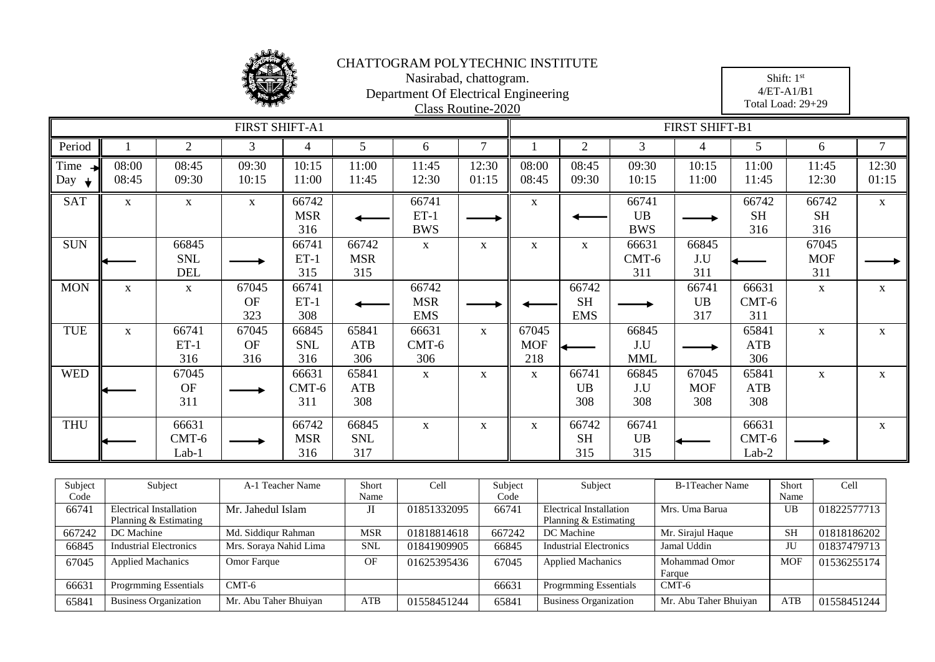

|             | Nasirabad, chattogram.<br>Department Of Electrical Engineering<br>Class Routine-2020 |                                                                                                                     |                           |                            |                            |                                   |                |                                                                       |                                  |                            | Shift: 1st<br>$4/ET-A1/B1$<br>Total Load: 29+29 |                           |                            |                |
|-------------|--------------------------------------------------------------------------------------|---------------------------------------------------------------------------------------------------------------------|---------------------------|----------------------------|----------------------------|-----------------------------------|----------------|-----------------------------------------------------------------------|----------------------------------|----------------------------|-------------------------------------------------|---------------------------|----------------------------|----------------|
|             |                                                                                      |                                                                                                                     | FIRST SHIFT-A1            |                            |                            |                                   |                |                                                                       |                                  |                            | FIRST SHIFT-B1                                  |                           |                            |                |
| Period      |                                                                                      | $\overline{2}$                                                                                                      | 3                         | $\overline{4}$             | 5                          | 6                                 | $\tau$         |                                                                       | $\overline{2}$                   | 3                          | $\overline{4}$                                  | 5                         | 6                          | $\tau$         |
| Time<br>Day | 08:00<br>08:45                                                                       | 08:45<br>09:30                                                                                                      | 09:30<br>10:15            | 10:15<br>11:00             | 11:00<br>11:45             | 11:45<br>12:30                    | 12:30<br>01:15 | 08:00<br>08:45                                                        | 08:45<br>09:30                   | 09:30<br>10:15             | 10:15<br>11:00                                  | 11:00<br>11:45            | 11:45<br>12:30             | 12:30<br>01:15 |
| SAT         | $\mathbf X$                                                                          | $\mathbf X$                                                                                                         | $\mathbf X$               | 66742<br><b>MSR</b><br>316 |                            | 66741<br>$ET-1$<br><b>BWS</b>     |                | $\mathbf X$                                                           |                                  | 66741<br>UB<br><b>BWS</b>  |                                                 | 66742<br><b>SH</b><br>316 | 66742<br><b>SH</b><br>316  | $\mathbf X$    |
| <b>SUN</b>  |                                                                                      | 66845<br><b>SNL</b><br><b>DEL</b>                                                                                   |                           | 66741<br>$ET-1$<br>315     | 66742<br><b>MSR</b><br>315 | $\mathbf X$                       | $\mathbf X$    | $\mathbf X$                                                           | $\mathbf X$                      | 66631<br>CMT-6<br>311      | 66845<br>J.U<br>311                             |                           | 67045<br><b>MOF</b><br>311 |                |
| <b>MON</b>  | $\mathbf{X}$                                                                         | $\mathbf X$                                                                                                         | 67045<br><b>OF</b><br>323 | 66741<br>$ET-1$<br>308     |                            | 66742<br><b>MSR</b><br><b>EMS</b> |                |                                                                       | 66742<br><b>SH</b><br><b>EMS</b> |                            | 66741<br><b>UB</b><br>317                       | 66631<br>CMT-6<br>311     | $\mathbf X$                | $\mathbf X$    |
| TUE         | $\mathbf X$                                                                          | 66741<br>$ET-1$<br>316                                                                                              | 67045<br><b>OF</b><br>316 | 66845<br><b>SNL</b><br>316 | 65841<br><b>ATB</b><br>306 | 66631<br>$CMT-6$<br>306           | $\mathbf{X}$   | 67045<br><b>MOF</b><br>218                                            |                                  | 66845<br>J.U<br><b>MML</b> |                                                 | 65841<br>ATB<br>306       | $\mathbf{X}$               | $\mathbf X$    |
| <b>WED</b>  |                                                                                      | 67045<br><b>OF</b><br>311                                                                                           |                           | 66631<br>$CMT-6$<br>311    | 65841<br><b>ATB</b><br>308 | $\mathbf X$                       | $\mathbf{X}$   | $\mathbf{X}$                                                          | 66741<br><b>UB</b><br>308        | 66845<br>J.U<br>308        | 67045<br><b>MOF</b><br>308                      | 65841<br>ATB<br>308       | $\mathbf X$                | $\mathbf X$    |
| <b>THU</b>  |                                                                                      | 66631<br>66742<br>66845<br>$\mathbf X$<br>$\mathbf X$<br>$CMT-6$<br><b>MSR</b><br><b>SNL</b><br>317<br>Lab-1<br>316 |                           |                            |                            |                                   |                | 66742<br>66741<br>$\mathbf X$<br><b>SH</b><br><b>UB</b><br>315<br>315 |                                  |                            |                                                 | 66631<br>CMT-6<br>Lab-2   |                            | $\mathbf X$    |
| Subject     | Subject<br>Short<br>Cell<br>A-1 Teacher Name                                         |                                                                                                                     |                           |                            |                            |                                   |                | Subject<br>Short<br>Cell<br>Subject<br><b>B-1Teacher Name</b>         |                                  |                            |                                                 |                           |                            |                |

| Subject | Subject                       | Teacher Name           | Short      | Cell        | Subject | Subject                        | B-1 Teacher Name      | Short      | Cell        |
|---------|-------------------------------|------------------------|------------|-------------|---------|--------------------------------|-----------------------|------------|-------------|
| Code    |                               |                        | Name       |             | Code    |                                |                       | Name       |             |
| 66741   | Electrical Installation       | Mr. Jahedul Islam      | Л          | 01851332095 | 66741   | <b>Electrical Installation</b> | Mrs. Uma Barua        | UB         | 01822577713 |
|         | Planning & Estimating         |                        |            |             |         | Planning & Estimating          |                       |            |             |
| 667242  | DC Machine                    | Md. Siddiqur Rahman    | MSR        | 01818814618 | 667242  | DC Machine                     | Mr. Sirajul Haque     | SH         | 01818186202 |
| 66845   | <b>Industrial Electronics</b> | Mrs. Soraya Nahid Lima | <b>SNL</b> | 01841909905 | 66845   | <b>Industrial Electronics</b>  | Jamal Uddin           | JU         | 01837479713 |
| 67045   | <b>Applied Machanics</b>      | Omor Farque            | OF         | 01625395436 | 67045   | <b>Applied Machanics</b>       | Mohammad Omor         | <b>MOF</b> | 01536255174 |
|         |                               |                        |            |             |         |                                | Farque                |            |             |
| 66631   | <b>Progrmming Essentials</b>  | CMT-6                  |            |             | 66631   | <b>Progrmming Essentials</b>   | $CMT-6$               |            |             |
| 65841   | <b>Business Organization</b>  | Mr. Abu Taher Bhuiyan  | ATB        | 01558451244 | 65841   | <b>Business Organization</b>   | Mr. Abu Taher Bhuiyan | ATB        | 01558451244 |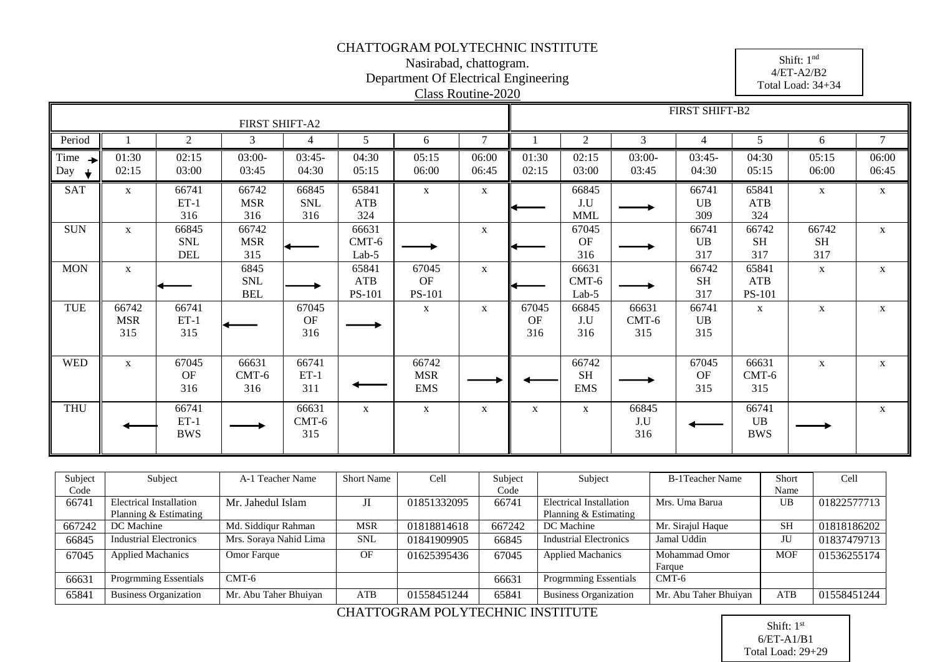Nasirabad, chattogram. Department Of Electrical Engineering

4/ET-A2/B2 Total Load: 34+34

Shift: 1 nd

|                              |                            |                                   |                                  |                            |                             |                                   | Class Routine-2020 |                           |                                  |                         |                           |                                      | $1.9$ and $1.9$ and $1.9$ |                |
|------------------------------|----------------------------|-----------------------------------|----------------------------------|----------------------------|-----------------------------|-----------------------------------|--------------------|---------------------------|----------------------------------|-------------------------|---------------------------|--------------------------------------|---------------------------|----------------|
|                              |                            |                                   | FIRST SHIFT-A2                   |                            |                             |                                   |                    |                           |                                  |                         | FIRST SHIFT-B2            |                                      |                           |                |
| Period                       |                            | 2                                 | 3                                | $\overline{4}$             | 5                           | 6                                 | $\tau$             |                           | 2                                | 3                       | 4                         | 5                                    | 6                         | 7              |
| Time<br>$\rightarrow$<br>Day | 01:30<br>02:15             | 02:15<br>03:00                    | $03:00-$<br>03:45                | $03:45-$<br>04:30          | 04:30<br>05:15              | 05:15<br>06:00                    | 06:00<br>06:45     | 01:30<br>02:15            | 02:15<br>03:00                   | $03:00-$<br>03:45       | $03:45-$<br>04:30         | 04:30<br>05:15                       | 05:15<br>06:00            | 06:00<br>06:45 |
| <b>SAT</b>                   | $\mathbf{X}$               | 66741<br>$ET-1$<br>316            | 66742<br><b>MSR</b><br>316       | 66845<br><b>SNL</b><br>316 | 65841<br>ATB<br>324         | $\mathbf{X}$                      | $\mathbf{X}$       |                           | 66845<br>J.U<br><b>MML</b>       |                         | 66741<br><b>UB</b><br>309 | 65841<br>ATB<br>324                  | $\mathbf X$               | $\mathbf{X}$   |
| <b>SUN</b>                   | $\mathbf{X}$               | 66845<br><b>SNL</b><br><b>DEL</b> | 66742<br><b>MSR</b><br>315       |                            | 66631<br>$CMT-6$<br>$Lab-5$ |                                   | X                  |                           | 67045<br>OF<br>316               |                         | 66741<br><b>UB</b><br>317 | 66742<br><b>SH</b><br>317            | 66742<br><b>SH</b><br>317 | $\mathbf{X}$   |
| <b>MON</b>                   | $\mathbf{X}$               |                                   | 6845<br><b>SNL</b><br><b>BEL</b> |                            | 65841<br>ATB<br>PS-101      | 67045<br>OF<br>PS-101             | $\mathbf X$        |                           | 66631<br>$CMT-6$<br>$Lab-5$      |                         | 66742<br><b>SH</b><br>317 | 65841<br><b>ATB</b><br><b>PS-101</b> | $\mathbf X$               | $\mathbf{X}$   |
| TUE                          | 66742<br><b>MSR</b><br>315 | 66741<br>$ET-1$<br>315            |                                  | 67045<br>OF<br>316         |                             | $\mathbf{X}$                      | X                  | 67045<br><b>OF</b><br>316 | 66845<br>J.U<br>316              | 66631<br>$CMT-6$<br>315 | 66741<br><b>UB</b><br>315 | $\mathbf{X}$                         | $\mathbf X$               | $\mathbf{X}$   |
| <b>WED</b>                   | X                          | 67045<br><b>OF</b><br>316         | 66631<br>$CMT-6$<br>316          | 66741<br>$ET-1$<br>311     |                             | 66742<br><b>MSR</b><br><b>EMS</b> |                    |                           | 66742<br><b>SH</b><br><b>EMS</b> |                         | 67045<br>OF<br>315        | 66631<br>$CMT-6$<br>315              | $\mathbf X$               | $\mathbf{X}$   |
| <b>THU</b>                   |                            | 66741<br>$ET-1$<br><b>BWS</b>     |                                  | 66631<br>$CMT-6$<br>315    | $\mathbf{X}$                | $\mathbf X$                       | $\mathbf{X}$       | $\mathbf{X}$              | $\mathbf{X}$                     | 66845<br>J.U<br>316     |                           | 66741<br>UB<br><b>BWS</b>            |                           | $\mathbf{X}$   |

| Subject | Subject                       | A-1 Teacher Name       | <b>Short Name</b> | Cell        | Subject | Subject                        | B-1Teacher Name       | Short      | Cell        |
|---------|-------------------------------|------------------------|-------------------|-------------|---------|--------------------------------|-----------------------|------------|-------------|
| Code    |                               |                        |                   |             | Code    |                                |                       | Name       |             |
| 66741   | Electrical Installation       | Mr. Jahedul Islam      | Л                 | 01851332095 | 66741   | <b>Electrical Installation</b> | Mrs. Uma Barua        | UB         | 01822577713 |
|         | Planning & Estimating         |                        |                   |             |         | Planning & Estimating          |                       |            |             |
| 667242  | DC Machine                    | Md. Siddiqur Rahman    | MSR               | 01818814618 | 667242  | DC Machine                     | Mr. Sirajul Haque     | <b>SH</b>  | 01818186202 |
| 66845   | <b>Industrial Electronics</b> | Mrs. Soraya Nahid Lima | <b>SNL</b>        | 01841909905 | 66845   | <b>Industrial Electronics</b>  | Jamal Uddin           | JU         | 01837479713 |
| 67045   | <b>Applied Machanics</b>      | Omor Farque            | OF                | 01625395436 | 67045   | <b>Applied Machanics</b>       | Mohammad Omor         | <b>MOF</b> | 01536255174 |
|         |                               |                        |                   |             |         |                                | Farque                |            |             |
| 66631   | <b>Progrmming Essentials</b>  | $CMT-6$                |                   |             | 66631   | <b>Progrmming Essentials</b>   | $CMT-6$               |            |             |
| 65841   | <b>Business Organization</b>  | Mr. Abu Taher Bhuiyan  | ATB               | 01558451244 | 65841   | <b>Business Organization</b>   | Mr. Abu Taher Bhuiyan | <b>ATB</b> | 01558451244 |
|         |                               |                        |                   |             |         |                                |                       |            |             |

#### CHATTOGRAM POLYTECHNIC INSTITUTE

Shift: 1<sup>st</sup> 6/ET-A1/B1 Total Load: 29+29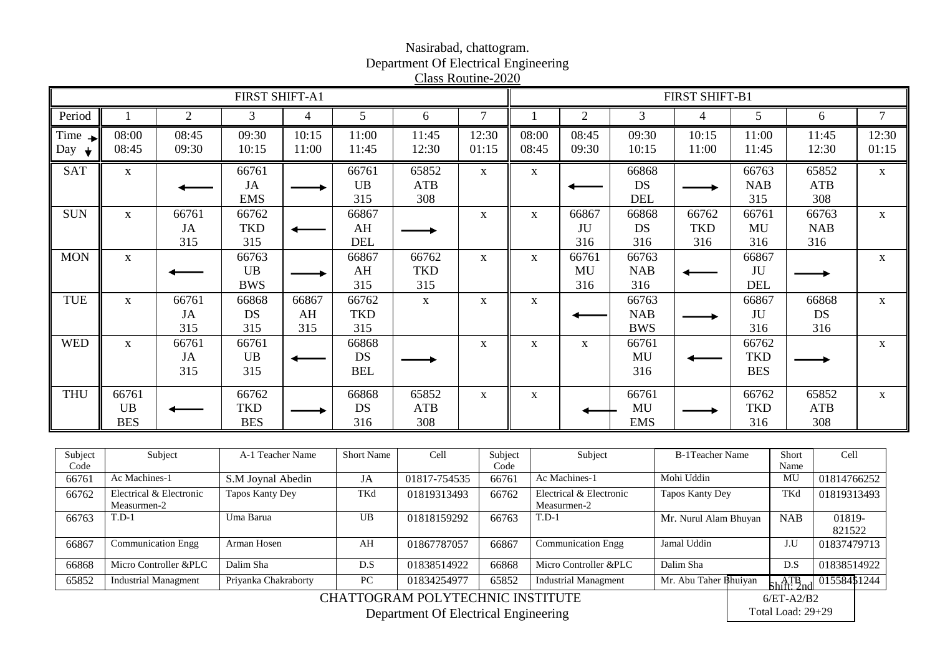#### FIRST SHIFT-A1 FIRST SHIFT-B1 Period || 1 || 2 || 3 || 4 || 5 || 6 || 7 || 1 || 2 || 3 || 4 || 5 || 6 || 7 08:00 08:45 09:30 10:15 11:00 11:45 12:30 08:00 08:45 09:30 10:15 11:00 11:45 12:30 Time  $\blacksquare$ 12:30 Day  $\downarrow$ 08:45 09:30 10:15 11:00 11:45 01:15 08:45 09:30 10:15 11:00 11:45 12:30 01:15  $SAT$  x 66761 66761 65852  $x \t x \t 66868$ 65852 66763 x JA UB ATB DS NAB ATB EMS 315 308 DEL 308 315 66761 66763  $SUN$   $x$   $66761$ 66762 66867  $x \mid x \mid 66867$ 66868 66762 x JA **TKD** AH JU DS **TKD** MU NAB 315 315 DEL 316 316 316 316 316  $MON \t x \t 66763$ 66867 66762  $x \times 66761$ 66763 66867 x UB AH **TKD** MU NAB JU BWS 315 316 316 DEL 315 TUE x 66761 66868 66867 66762 x x x 66763 66867 66868 x JA AH **TKD** JU DS DS NAB 315 315 BWS 315 315 316 316 WED  $x$  66761 66761 66868 x x x 66761 66762 x UB DS MU **TKD** JA ◆ 315 315 BEL 316 BES THU 66761 66762 65852  $x \t x \t 66761$ 66762 65852 66868 x **TKD** DS MU **TKD** UB ATB ATB BES BES 316 308 EMS 316 308

| Nasirabad, chattogram.               |
|--------------------------------------|
| Department Of Electrical Engineering |
| Class Routine-2020                   |

| Subject | Subject                     | A-1 Teacher Name     | <b>Short Name</b> | Cell         | Subject | Subject                     | <b>B-1Teacher Name</b> | Short                                                 | Cell         |
|---------|-----------------------------|----------------------|-------------------|--------------|---------|-----------------------------|------------------------|-------------------------------------------------------|--------------|
| Code    |                             |                      |                   |              | Code    |                             |                        | Name                                                  |              |
| 66761   | Ac Machines-1               | S.M Joynal Abedin    | JA                | 01817-754535 | 66761   | Ac Machines-1               | Mohi Uddin             | MU                                                    | 01814766252  |
| 66762   | Electrical & Electronic     | Tapos Kanty Dey      | TKd               | 01819313493  | 66762   | Electrical & Electronic     | Tapos Kanty Dey        | TKd                                                   | 01819313493  |
|         | Measurmen-2                 |                      |                   |              |         | Measurmen-2                 |                        |                                                       |              |
| 66763   | $T.D-1$                     | Uma Barua            | UB                | 01818159292  | 66763   | $T.D-1$                     | Mr. Nurul Alam Bhuyan  | <b>NAB</b>                                            | 01819-       |
|         |                             |                      |                   |              |         |                             |                        |                                                       | 821522       |
| 66867   | <b>Communication Engg</b>   | Arman Hosen          | AH                | 01867787057  | 66867   | <b>Communication Engg</b>   | Jamal Uddin            | J.U                                                   | 01837479713  |
|         |                             |                      |                   |              |         |                             |                        |                                                       |              |
| 66868   | Micro Controller &PLC       | Dalim Sha            | D.S               | 01838514922  | 66868   | Micro Controller &PLC       | Dalim Sha              | D.S                                                   | 01838514922  |
| 65852   | <b>Industrial Managment</b> | Priyanka Chakraborty | PC                | 01834254977  | 65852   | <b>Industrial Managment</b> | Mr. Abu Taher Bhuiyan  | $\overline{\text{Shift:}}^{\text{ATB}}$ <sub>nd</sub> | 015584\$1244 |

CHATTOGRAM POLYTECHNIC INSTITUTE

Department Of Electrical Engineering

6/ET-A2/B2 Total Load: 29+29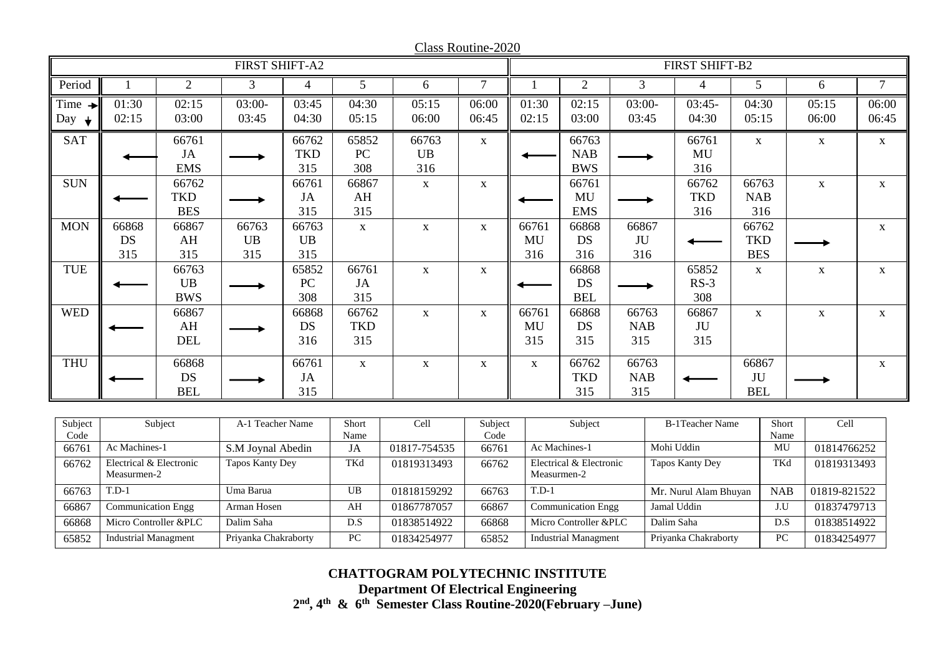|                    |                                        |                | FIRST SHIFT-A2         |                |                  |              | Ciass inouthit-2020 |             |                           |            |            | FIRST SHIFT-B2         |                |                            |              |                 |
|--------------------|----------------------------------------|----------------|------------------------|----------------|------------------|--------------|---------------------|-------------|---------------------------|------------|------------|------------------------|----------------|----------------------------|--------------|-----------------|
|                    |                                        |                |                        |                |                  |              |                     |             |                           |            |            |                        |                |                            |              |                 |
| Period             |                                        | $\overline{2}$ | 3                      | $\overline{4}$ | 5                | 6            | $\overline{7}$      |             | 2                         | 3          |            | 4                      | 5 <sup>5</sup> |                            | 6            | $7\overline{ }$ |
| Time $\rightarrow$ | 01:30                                  | 02:15          | $03:00-$               | 03:45          | 04:30            | 05:15        | 06:00               | 01:30       | 02:15                     | $03:00-$   |            | $03:45-$               | 04:30          |                            | 05:15        | 06:00           |
| Day<br>$\mathbf +$ | 02:15                                  | 03:00          | 03:45                  | 04:30          | 05:15            | 06:00        | 06:45               | 02:15       | 03:00                     | 03:45      |            | 04:30                  | 05:15          |                            | 06:00        | 06:45           |
| <b>SAT</b>         |                                        | 66761          |                        | 66762          | 65852            | 66763        | $\mathbf X$         |             | 66763                     |            |            | 66761                  | $\mathbf X$    |                            | $\mathbf X$  | $\mathbf X$     |
|                    |                                        | JA             |                        | <b>TKD</b>     | PC               | UB           |                     |             | <b>NAB</b>                |            |            | MU                     |                |                            |              |                 |
|                    |                                        | <b>EMS</b>     |                        | 315            | 308              | 316          |                     |             | <b>BWS</b>                |            |            | 316                    |                |                            |              |                 |
| <b>SUN</b>         |                                        | 66762          |                        | 66761          | 66867            | $\mathbf X$  | $\mathbf X$         |             | 66761                     |            |            | 66762                  | 66763          |                            | $\mathbf X$  | $\mathbf X$     |
|                    |                                        | <b>TKD</b>     |                        | JA             | AH               |              |                     |             | MU                        |            |            | <b>TKD</b>             | <b>NAB</b>     |                            |              |                 |
|                    |                                        | <b>BES</b>     |                        | 315            | 315              |              |                     |             | <b>EMS</b>                |            |            | 316                    |                | 316                        |              |                 |
| <b>MON</b>         | 66868                                  | 66867          | 66763                  | 66763          | $\mathbf{X}$     | $\mathbf X$  | $\mathbf X$         | 66761       | 66868                     | 66867      |            |                        | 66762          |                            |              | $\mathbf X$     |
|                    | <b>DS</b>                              | AH             | <b>UB</b>              | UB             |                  |              |                     | MU          | DS                        | JU         |            |                        |                | <b>TKD</b>                 |              |                 |
|                    | 315                                    | 315            | 315                    | 315            |                  |              |                     | 316         | 316                       | 316        |            |                        |                | <b>BES</b>                 |              |                 |
| <b>TUE</b>         |                                        | 66763          |                        | 65852          | 66761            | $\mathbf X$  | $\mathbf X$         |             | 66868                     |            |            | 65852                  |                | $\mathbf X$<br>$\mathbf X$ |              | $\mathbf X$     |
|                    |                                        | <b>UB</b>      |                        | PC             | <b>JA</b>        |              |                     |             | <b>DS</b>                 |            |            | $RS-3$                 |                |                            |              |                 |
|                    |                                        | <b>BWS</b>     |                        | 308            | 315              |              |                     |             | <b>BEL</b>                |            |            | 308                    |                |                            |              |                 |
| <b>WED</b>         |                                        | 66867          |                        | 66868          | 66762            | $\mathbf X$  | $\mathbf X$         | 66761       | 66868                     | 66763      |            | 66867                  | $\mathbf{X}$   |                            | $\mathbf X$  | $\mathbf X$     |
|                    |                                        | AH             |                        | <b>DS</b>      | <b>TKD</b>       |              |                     | MU          | DS                        | <b>NAB</b> |            | JU                     |                |                            |              |                 |
|                    |                                        | <b>DEL</b>     |                        | 316            | 315              |              |                     | 315         | 315                       | 315        |            | 315                    |                |                            |              |                 |
| <b>THU</b>         |                                        | 66868          |                        | 66761          | $\mathbf X$      | $\mathbf X$  | $\mathbf X$         | $\mathbf X$ | 66762                     | 66763      |            |                        | 66867          |                            |              | $\mathbf X$     |
|                    |                                        | <b>DS</b>      |                        | JA             |                  |              |                     |             | <b>TKD</b>                | <b>NAB</b> |            |                        | JU             |                            |              |                 |
|                    |                                        | <b>BEL</b>     |                        | 315            |                  |              |                     |             | 315                       | 315        |            |                        | <b>BEL</b>     |                            |              |                 |
|                    |                                        |                |                        |                |                  |              |                     |             |                           |            |            |                        |                |                            |              |                 |
| Subject            |                                        | Subject        | A-1 Teacher Name       |                | Short            | Cell         | Subject             |             | Subject                   |            |            | <b>B-1Teacher Name</b> |                | Short                      | Cell         |                 |
| Code               |                                        |                |                        |                | Name             |              | Code                |             |                           |            |            |                        |                | Name                       |              |                 |
| 66761              | Ac Machines-1                          |                | S.M Joynal Abedin      |                | JA               | 01817-754535 | 66761               |             | Ac Machines-1             |            |            | Mohi Uddin             |                | MU                         | 01814766252  |                 |
| 66762              | Electrical & Electronic<br>Measurmen-2 |                | <b>Tapos Kanty Dey</b> |                | TKd              | 01819313493  | 66762               | Measurmen-2 | Electrical & Electronic   |            |            | <b>Tapos Kanty Dey</b> |                | TKd                        | 01819313493  |                 |
| 66763              | $T.D-1$                                |                | Uma Barua              |                | $\overline{UB}$  | 01818159292  | 66763               | $T.D-1$     |                           |            |            | Mr. Nurul Alam Bhuyan  |                | <b>NAB</b>                 | 01819-821522 |                 |
| 66867              | Communication Engg                     |                | Arman Hosen            |                | AH               | 01867787057  | 66867               |             | <b>Communication Engg</b> |            |            | Jamal Uddin            |                | $\overline{J.U}$           | 01837479713  |                 |
| 66868              | Micro Controller &PLC                  |                | Dalim Saha             |                | $\overline{D.S}$ | 01838514922  | 66868               |             | Micro Controller &PLC     |            | Dalim Saha |                        |                | D.S                        | 01838514922  |                 |

Class Routine-2020

65852 Industrial Managment Priyanka Chakraborty PC 01834254977 65852 Industrial Managment Priyanka Chakraborty PC 01834254977

**Department Of Electrical Engineering**

**2 nd, 4th & 6th Semester Class Routine-2020(February –June)**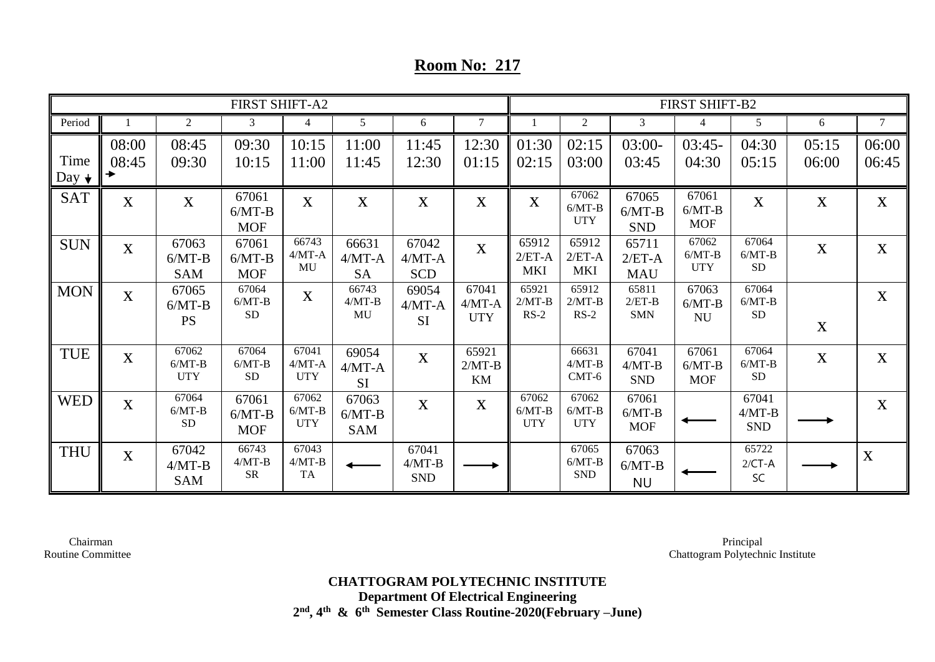## **Room No: 217**

|                     | <b>FIRST SHIFT-A2</b><br>$\overline{2}$<br>$5\overline{)}$<br>3<br>6<br>$\overline{4}$ |                                 |                                 |                                 |                                 |                                 |                                                 |                                 |                                 |                                 | FIRST SHIFT-B2                  |                                 |                |                |
|---------------------|----------------------------------------------------------------------------------------|---------------------------------|---------------------------------|---------------------------------|---------------------------------|---------------------------------|-------------------------------------------------|---------------------------------|---------------------------------|---------------------------------|---------------------------------|---------------------------------|----------------|----------------|
| Period              |                                                                                        |                                 |                                 |                                 |                                 |                                 | $\overline{7}$                                  |                                 | 2                               | 3                               |                                 | 5                               | 6              | $\overline{7}$ |
| Time<br>Day $\star$ | 08:00<br>08:45<br>→                                                                    | 08:45<br>09:30                  | 09:30<br>10:15                  | 10:15<br>11:00                  | 11:00<br>11:45                  | 11:45<br>12:30                  | 12:30<br>01:15                                  | 01:30<br>02:15                  | 02:15<br>03:00                  | $03:00-$<br>03:45               | $03:45-$<br>04:30               | 04:30<br>05:15                  | 05:15<br>06:00 | 06:00<br>06:45 |
| <b>SAT</b>          | $\mathbf X$                                                                            | $\mathbf X$                     | 67061<br>$6/MT-B$<br><b>MOF</b> | X                               | X                               | X                               | $\mathbf X$                                     | $\mathbf X$                     | 67062<br>$6/MT-B$<br><b>UTY</b> | 67065<br>$6/MT-B$<br><b>SND</b> | 67061<br>$6/MT-B$<br><b>MOF</b> | $\mathbf X$                     | $\mathbf X$    | $\mathbf{X}$   |
| <b>SUN</b>          | X                                                                                      | 67063<br>$6/MT-B$<br><b>SAM</b> | 67061<br>$6/MT-B$<br><b>MOF</b> | 66743<br>$4/MT-A$<br>MU         | 66631<br>$4/MT-A$<br>SA         | 67042<br>$4/MT-A$<br><b>SCD</b> | X                                               | 65912<br>$2/ET-A$<br><b>MKI</b> | 65912<br>$2/ET-A$<br><b>MKI</b> | 65711<br>$2/ET-A$<br><b>MAU</b> | 67062<br>$6/MT-B$<br><b>UTY</b> | 67064<br>$6/MT-B$<br><b>SD</b>  | $\mathbf{X}$   | $\mathbf{X}$   |
| <b>MON</b>          | $\bf{X}$                                                                               | 67065<br>$6/MT-B$<br><b>PS</b>  | 67064<br>$6/MT-B$<br><b>SD</b>  | X                               | 66743<br>$4/MT-B$<br>MU         | 69054<br>$4/MT-A$<br><b>SI</b>  | 67041<br>$4/MT-A$<br><b>UTY</b>                 | 65921<br>$2/MT-B$<br>$RS-2$     | 65912<br>$2/MT-B$<br>$RS-2$     | 65811<br>$2/ET-B$<br><b>SMN</b> | 67063<br>$6/MT-B$<br><b>NU</b>  | 67064<br>$6/MT-B$<br><b>SD</b>  | X              | X              |
| <b>TUE</b>          | $\bf{X}$                                                                               | 67062<br>$6/MT-B$<br><b>UTY</b> | 67064<br>$6/MT-B$<br><b>SD</b>  | 67041<br>$4/MT-A$<br><b>UTY</b> | 69054<br>$4/MT-A$<br><b>SI</b>  | X                               | 65921<br>$2/MT-B$<br>$\mathop{\rm KM}\nolimits$ |                                 | 66631<br>$4/MT-B$<br>$CMT-6$    | 67041<br>$4/MT-B$<br><b>SND</b> | 67061<br>$6/MT-B$<br><b>MOF</b> | 67064<br>$6/MT-B$<br>${\rm SD}$ | $\mathbf X$    | X              |
| <b>WED</b>          | $\mathbf{X}$                                                                           | 67064<br>$6/MT-B$<br><b>SD</b>  | 67061<br>$6/MT-B$<br><b>MOF</b> | 67062<br>$6/MT-B$<br><b>UTY</b> | 67063<br>$6/MT-B$<br><b>SAM</b> | X                               | X                                               | 67062<br>$6/MT-B$<br><b>UTY</b> | 67062<br>$6/MT-B$<br><b>UTY</b> | 67061<br>$6/MT-B$<br><b>MOF</b> |                                 | 67041<br>$4/MT-B$<br><b>SND</b> |                | $\mathbf{X}$   |
| <b>THU</b>          | X                                                                                      | 67042<br>$4/MT-B$<br><b>SAM</b> | 66743<br>$4/MT-B$<br><b>SR</b>  | 67043<br>$4/MT-B$<br><b>TA</b>  |                                 | 67041<br>$4/MT-B$<br><b>SND</b> |                                                 |                                 | 67065<br>$6/MT-B$<br><b>SND</b> | 67063<br>$6/MT-B$<br><b>NU</b>  |                                 | 65722<br>$2/CT - A$<br>SC       |                | X              |

 Chairman Routine Committee

Principal Chattogram Polytechnic Institute

**CHATTOGRAM POLYTECHNIC INSTITUTE Department Of Electrical Engineering 2 nd, 4th & 6th Semester Class Routine-2020(February –June)**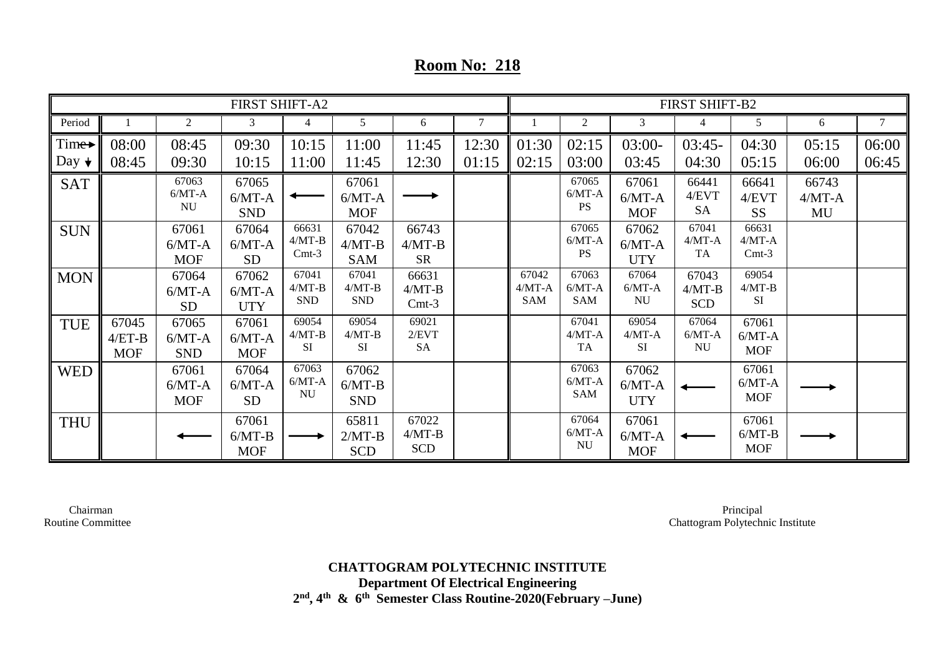## **Room No: 218**

| <b>FIRST SHIFT-A2</b> |                                 |                                 |                                 |                                 |                                 |                                 |       | FIRST SHIFT-B2                  |                                 |                                 |                                 |                                 |                         |        |  |
|-----------------------|---------------------------------|---------------------------------|---------------------------------|---------------------------------|---------------------------------|---------------------------------|-------|---------------------------------|---------------------------------|---------------------------------|---------------------------------|---------------------------------|-------------------------|--------|--|
| Period                |                                 | 2                               | 3                               | $\overline{4}$                  | 5                               | 6                               | 7     |                                 | 2                               | 3                               | 4                               | 5                               | 6                       | $\tau$ |  |
| $Time \rightarrow$    | 08:00                           | 08:45                           | 09:30                           | 10:15                           | 11:00                           | 11:45                           | 12:30 | 01:30                           | 02:15                           | $03:00-$                        | $03:45-$                        | 04:30                           | 05:15                   | 06:00  |  |
| Day $\downarrow$      | 08:45                           | 09:30                           | 10:15                           | 11:00                           | 11:45                           | 12:30                           | 01:15 | 02:15                           | 03:00                           | 03:45                           | 04:30                           | 05:15                           | 06:00                   | 06:45  |  |
| <b>SAT</b>            |                                 | 67063<br>$6/MT-A$<br><b>NU</b>  | 67065<br>$6/MT-A$<br><b>SND</b> |                                 | 67061<br>$6/MT-A$<br><b>MOF</b> |                                 |       |                                 | 67065<br>$6/MT-A$<br><b>PS</b>  | 67061<br>$6/MT-A$<br><b>MOF</b> | 66441<br>4/EVT<br><b>SA</b>     | 66641<br>4/EVT<br><b>SS</b>     | 66743<br>$4/MT-A$<br>MU |        |  |
| <b>SUN</b>            |                                 | 67061<br>$6/MT-A$<br><b>MOF</b> | 67064<br>$6/MT-A$<br><b>SD</b>  | 66631<br>$4/MT-B$<br>$Cmt-3$    | 67042<br>$4/MT-B$<br><b>SAM</b> | 66743<br>$4/MT-B$<br><b>SR</b>  |       |                                 | 67065<br>$6/MT-A$<br><b>PS</b>  | 67062<br>$6/MT-A$<br><b>UTY</b> | 67041<br>$4/MT-A$<br><b>TA</b>  | 66631<br>$4/MT-A$<br>$Cmt-3$    |                         |        |  |
| <b>MON</b>            |                                 | 67064<br>$6/MT-A$<br><b>SD</b>  | 67062<br>$6/MT-A$<br><b>UTY</b> | 67041<br>$4/MT-B$<br><b>SND</b> | 67041<br>$4/MT-B$<br><b>SND</b> | 66631<br>$4/MT-B$<br>$Cmt-3$    |       | 67042<br>$4/MT-A$<br><b>SAM</b> | 67063<br>$6/MT-A$<br><b>SAM</b> | 67064<br>$6/MT-A$<br><b>NU</b>  | 67043<br>$4/MT-B$<br><b>SCD</b> | 69054<br>$4/MT-B$<br>SI         |                         |        |  |
| <b>TUE</b>            | 67045<br>$4/ET-B$<br><b>MOF</b> | 67065<br>$6/MT-A$<br><b>SND</b> | 67061<br>$6/MT-A$<br><b>MOF</b> | 69054<br>$4/MT-B$<br><b>SI</b>  | 69054<br>$4/MT-B$<br>SI         | 69021<br>2/EVT<br><b>SA</b>     |       |                                 | 67041<br>$4/MT-A$<br><b>TA</b>  | 69054<br>$4/MT-A$<br><b>SI</b>  | 67064<br>$6/MT-A$<br><b>NU</b>  | 67061<br>$6/MT-A$<br><b>MOF</b> |                         |        |  |
| <b>WED</b>            |                                 | 67061<br>$6/MT-A$<br><b>MOF</b> | 67064<br>$6/MT-A$<br><b>SD</b>  | 67063<br>$6/MT-A$<br><b>NU</b>  | 67062<br>$6/MT-B$<br><b>SND</b> |                                 |       |                                 | 67063<br>$6/MT-A$<br><b>SAM</b> | 67062<br>$6/MT-A$<br><b>UTY</b> |                                 | 67061<br>$6/MT-A$<br><b>MOF</b> |                         |        |  |
| <b>THU</b>            |                                 |                                 | 67061<br>$6/MT-B$<br><b>MOF</b> |                                 | 65811<br>$2/MT-B$<br><b>SCD</b> | 67022<br>$4/MT-B$<br><b>SCD</b> |       |                                 | 67064<br>$6/MT-A$<br><b>NU</b>  | 67061<br>$6/MT-A$<br><b>MOF</b> |                                 | 67061<br>$6/MT-B$<br><b>MOF</b> |                         |        |  |

 Chairman Routine Committee

Principal Chattogram Polytechnic Institute

**CHATTOGRAM POLYTECHNIC INSTITUTE Department Of Electrical Engineering 2 nd, 4th & 6th Semester Class Routine-2020(February –June)**